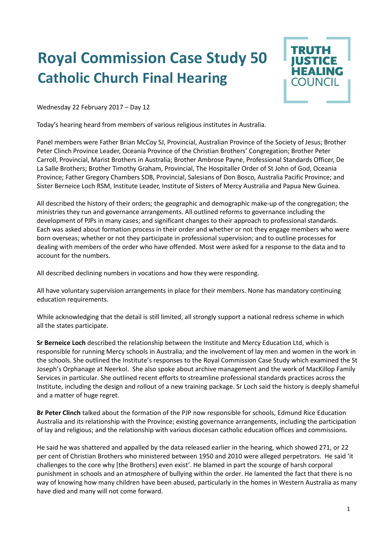## **Royal Commission Case Study 50 Catholic Church Final Hearing**



Wednesday 22 February 2017 – Day 12

Today's hearing heard from members of various religious institutes in Australia.

Panel members were Father Brian McCoy SJ, Provincial, Australian Province of the Society of Jesus; Brother Peter Clinch Province Leader, Oceania Province of the Christian Brothers' Congregation; Brother Peter Carroll, Provincial, Marist Brothers in Australia; Brother Ambrose Payne, Professional Standards Officer, De La Salle Brothers; Brother Timothy Graham, Provincial, The Hospitaller Order of St John of God, Oceania Province; Father Gregory Chambers SDB, Provincial, Salesians of Don Bosco, Australia Pacific Province; and Sister Berneice Loch RSM, Institute Leader, Institute of Sisters of Mercy Australia and Papua New Guinea.

All described the history of their orders; the geographic and demographic make-up of the congregation; the ministries they run and governance arrangements. All outlined reforms to governance including the development of PJPs in many cases; and significant changes to their approach to professional standards. Each was asked about formation process in their order and whether or not they engage members who were born overseas; whether or not they participate in professional supervision; and to outline processes for dealing with members of the order who have offended. Most were asked for a response to the data and to account for the numbers.

All described declining numbers in vocations and how they were responding.

All have voluntary supervision arrangements in place for their members. None has mandatory continuing education requirements.

While acknowledging that the detail is still limited, all strongly support a national redress scheme in which all the states participate.

**Sr Berneice Loch** described the relationship between the Institute and Mercy Education Ltd, which is responsible for running Mercy schools in Australia; and the involvement of lay men and women in the work in the schools. She outlined the Institute's responses to the Royal Commission Case Study which examined the St Joseph's Orphanage at Neerkol. She also spoke about archive management and the work of MacKillop Family Services in particular. She outlined recent efforts to streamline professional standards practices across the Institute, including the design and rollout of a new training package. Sr Loch said the history is deeply shameful and a matter of huge regret.

**Br Peter Clinch** talked about the formation of the PJP now responsible for schools, Edmund Rice Education Australia and its relationship with the Province; existing governance arrangements, including the participation of lay and religious; and the relationship with various diocesan catholic education offices and commissions.

He said he was shattered and appalled by the data released earlier in the hearing, which showed 271, or 22 per cent of Christian Brothers who ministered between 1950 and 2010 were alleged perpetrators. He said 'it challenges to the core why [the Brothers] even exist'. He blamed in part the scourge of harsh corporal punishment in schools and an atmosphere of bullying within the order. He lamented the fact that there is no way of knowing how many children have been abused, particularly in the homes in Western Australia as many have died and many will not come forward.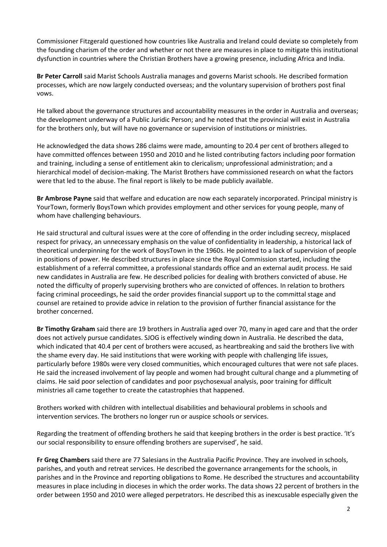Commissioner Fitzgerald questioned how countries like Australia and Ireland could deviate so completely from the founding charism of the order and whether or not there are measures in place to mitigate this institutional dysfunction in countries where the Christian Brothers have a growing presence, including Africa and India.

**Br Peter Carroll** said Marist Schools Australia manages and governs Marist schools. He described formation processes, which are now largely conducted overseas; and the voluntary supervision of brothers post final vows.

He talked about the governance structures and accountability measures in the order in Australia and overseas; the development underway of a Public Juridic Person; and he noted that the provincial will exist in Australia for the brothers only, but will have no governance or supervision of institutions or ministries.

He acknowledged the data shows 286 claims were made, amounting to 20.4 per cent of brothers alleged to have committed offences between 1950 and 2010 and he listed contributing factors including poor formation and training, including a sense of entitlement akin to clericalism; unprofessional administration; and a hierarchical model of decision-making. The Marist Brothers have commissioned research on what the factors were that led to the abuse. The final report is likely to be made publicly available.

**Br Ambrose Payne** said that welfare and education are now each separately incorporated. Principal ministry is YourTown, formerly BoysTown which provides employment and other services for young people, many of whom have challenging behaviours.

He said structural and cultural issues were at the core of offending in the order including secrecy, misplaced respect for privacy, an unnecessary emphasis on the value of confidentiality in leadership, a historical lack of theoretical underpinning for the work of BoysTown in the 1960s. He pointed to a lack of supervision of people in positions of power. He described structures in place since the Royal Commission started, including the establishment of a referral committee, a professional standards office and an external audit process. He said new candidates in Australia are few. He described policies for dealing with brothers convicted of abuse. He noted the difficulty of properly supervising brothers who are convicted of offences. In relation to brothers facing criminal proceedings, he said the order provides financial support up to the committal stage and counsel are retained to provide advice in relation to the provision of further financial assistance for the brother concerned.

**Br Timothy Graham** said there are 19 brothers in Australia aged over 70, many in aged care and that the order does not actively pursue candidates. SJOG is effectively winding down in Australia. He described the data, which indicated that 40.4 per cent of brothers were accused, as heartbreaking and said the brothers live with the shame every day. He said institutions that were working with people with challenging life issues, particularly before 1980s were very closed communities, which encouraged cultures that were not safe places. He said the increased involvement of lay people and women had brought cultural change and a plummeting of claims. He said poor selection of candidates and poor psychosexual analysis, poor training for difficult ministries all came together to create the catastrophies that happened.

Brothers worked with children with intellectual disabilities and behavioural problems in schools and intervention services. The brothers no longer run or auspice schools or services.

Regarding the treatment of offending brothers he said that keeping brothers in the order is best practice. 'It's our social responsibility to ensure offending brothers are supervised', he said.

**Fr Greg Chambers** said there are 77 Salesians in the Australia Pacific Province. They are involved in schools, parishes, and youth and retreat services. He described the governance arrangements for the schools, in parishes and in the Province and reporting obligations to Rome. He described the structures and accountability measures in place including in dioceses in which the order works. The data shows 22 percent of brothers in the order between 1950 and 2010 were alleged perpetrators. He described this as inexcusable especially given the